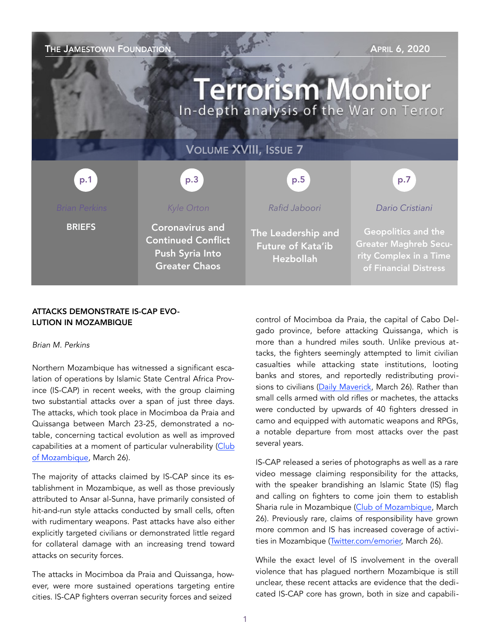| THE JAMESTOWN FOUNDATION<br><b>APRIL 6, 2020</b><br><b>Terrorism Monitor</b><br>In-depth analysis of the War on Terror |                                                                                                |                                                                    |                                                                                                        |
|------------------------------------------------------------------------------------------------------------------------|------------------------------------------------------------------------------------------------|--------------------------------------------------------------------|--------------------------------------------------------------------------------------------------------|
| <b>VOLUME XVIII, ISSUE 7</b>                                                                                           |                                                                                                |                                                                    |                                                                                                        |
| p.1                                                                                                                    | p.3                                                                                            | p.5                                                                | p.7                                                                                                    |
| <b>Brian Perkins</b>                                                                                                   | Kyle Orton                                                                                     | Rafid Jaboori                                                      | Dario Cristiani                                                                                        |
| <b>BRIEFS</b>                                                                                                          | <b>Coronavirus and</b><br><b>Continued Conflict</b><br>Push Syria Into<br><b>Greater Chaos</b> | The Leadership and<br><b>Future of Kata'ib</b><br><b>Hezbollah</b> | Geopolitics and the<br><b>Greater Maghreb Secu-</b><br>rity Complex in a Time<br>of Financial Distress |

## ATTACKS DEMONSTRATE IS-CAP EVO-LUTION IN MOZAMBIQUE

#### *Brian M. Perkins*

Northern Mozambique has witnessed a significant escalation of operations by Islamic State Central Africa Province (IS-CAP) in recent weeks, with the group claiming two substantial attacks over a span of just three days. The attacks, which took place in Mocimboa da Praia and Quissanga between March 23-25, demonstrated a notable, concerning tactical evolution as well as improved capabilities at a moment of particular vulnerability ([Club](https://clubofmozambique.com/news/mozambique-attacks-alleged-jihadist-group-displays-photos-and-c)  [of Mozambique](https://clubofmozambique.com/news/mozambique-attacks-alleged-jihadist-group-displays-photos-and-c), March 26).

The majority of attacks claimed by IS-CAP since its establishment in Mozambique, as well as those previously attributed to Ansar al-Sunna, have primarily consisted of hit-and-run style attacks conducted by small cells, often with rudimentary weapons. Past attacks have also either explicitly targeted civilians or demonstrated little regard for collateral damage with an increasing trend toward attacks on security forces.

The attacks in Mocimboa da Praia and Quissanga, however, were more sustained operations targeting entire cities. IS-CAP fighters overran security forces and seized

control of Mocimboa da Praia, the capital of Cabo Delgado province, before attacking Quissanga, which is more than a hundred miles south. Unlike previous attacks, the fighters seemingly attempted to limit civilian casualties while attacking state institutions, looting banks and stores, and reportedly redistributing provi-sions to civilians ([Daily Maverick,](https://www) March 26). Rather than small cells armed with old rifles or machetes, the attacks were conducted by upwards of 40 fighters dressed in camo and equipped with automatic weapons and RPGs, a notable departure from most attacks over the past several years.

IS-CAP released a series of photographs as well as a rare video message claiming responsibility for the attacks, with the speaker brandishing an Islamic State (IS) flag and calling on fighters to come join them to establish Sharia rule in Mozambique ([Club of Mozambique,](https://clubofmozambique.com/news/mozambique-attacks-alleged-jihadist-group-displays-photos-and-claims-occupation) March 26). Previously rare, claims of responsibility have grown more common and IS has increased coverage of activities in Mozambique ([Twitter.com/emorier,](https://twitter.com/emorier/status/1243082181100163072?s=20) March 26).

While the exact level of IS involvement in the overall violence that has plagued northern Mozambique is still unclear, these recent attacks are evidence that the dedicated IS-CAP core has grown, both in size and capabili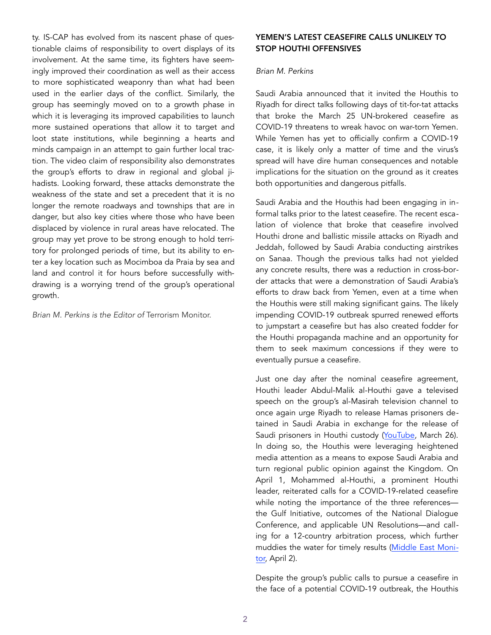ty. IS-CAP has evolved from its nascent phase of questionable claims of responsibility to overt displays of its involvement. At the same time, its fighters have seemingly improved their coordination as well as their access to more sophisticated weaponry than what had been used in the earlier days of the conflict. Similarly, the group has seemingly moved on to a growth phase in which it is leveraging its improved capabilities to launch more sustained operations that allow it to target and loot state institutions, while beginning a hearts and minds campaign in an attempt to gain further local traction. The video claim of responsibility also demonstrates the group's efforts to draw in regional and global jihadists. Looking forward, these attacks demonstrate the weakness of the state and set a precedent that it is no longer the remote roadways and townships that are in danger, but also key cities where those who have been displaced by violence in rural areas have relocated. The group may yet prove to be strong enough to hold territory for prolonged periods of time, but its ability to enter a key location such as Mocimboa da Praia by sea and land and control it for hours before successfully withdrawing is a worrying trend of the group's operational growth.

*Brian M. Perkins is the Editor of* Terrorism Monitor.

## YEMEN'S LATEST CEASEFIRE CALLS UNLIKELY TO STOP HOUTHI OFFENSIVES

## *Brian M. Perkins*

Saudi Arabia announced that it invited the Houthis to Riyadh for direct talks following days of tit-for-tat attacks that broke the March 25 UN-brokered ceasefire as COVID-19 threatens to wreak havoc on war-torn Yemen. While Yemen has yet to officially confirm a COVID-19 case, it is likely only a matter of time and the virus's spread will have dire human consequences and notable implications for the situation on the ground as it creates both opportunities and dangerous pitfalls.

Saudi Arabia and the Houthis had been engaging in informal talks prior to the latest ceasefire. The recent escalation of violence that broke that ceasefire involved Houthi drone and ballistic missile attacks on Riyadh and Jeddah, followed by Saudi Arabia conducting airstrikes on Sanaa. Though the previous talks had not yielded any concrete results, there was a reduction in cross-border attacks that were a demonstration of Saudi Arabia's efforts to draw back from Yemen, even at a time when the Houthis were still making significant gains. The likely impending COVID-19 outbreak spurred renewed efforts to jumpstart a ceasefire but has also created fodder for the Houthi propaganda machine and an opportunity for them to seek maximum concessions if they were to eventually pursue a ceasefire.

Just one day after the nominal ceasefire agreement, Houthi leader Abdul-Malik al-Houthi gave a televised speech on the group's al-Masirah television channel to once again urge Riyadh to release Hamas prisoners detained in Saudi Arabia in exchange for the release of Saudi prisoners in Houthi custody ([YouTube,](https://www.youtube.com/watch?v=6xL1_OfxO7o) March 26). In doing so, the Houthis were leveraging heightened media attention as a means to expose Saudi Arabia and turn regional public opinion against the Kingdom. On April 1, Mohammed al-Houthi, a prominent Houthi leader, reiterated calls for a COVID-19-related ceasefire while noting the importance of the three referencesthe Gulf Initiative, outcomes of the National Dialogue Conference, and applicable UN Resolutions—and calling for a 12-country arbitration process, which further muddies the water for timely results (Middle East Monitor, April 2).

Despite the group's public calls to pursue a ceasefire in the face of a potential COVID-19 outbreak, the Houthis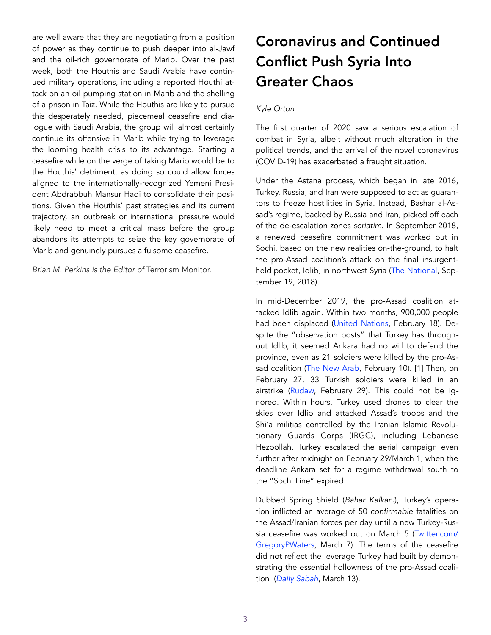are well aware that they are negotiating from a position of power as they continue to push deeper into al-Jawf and the oil-rich governorate of Marib. Over the past week, both the Houthis and Saudi Arabia have continued military operations, including a reported Houthi attack on an oil pumping station in Marib and the shelling of a prison in Taiz. While the Houthis are likely to pursue this desperately needed, piecemeal ceasefire and dialogue with Saudi Arabia, the group will almost certainly continue its offensive in Marib while trying to leverage the looming health crisis to its advantage. Starting a ceasefire while on the verge of taking Marib would be to the Houthis' detriment, as doing so could allow forces aligned to the internationally-recognized Yemeni President Abdrabbuh Mansur Hadi to consolidate their positions. Given the Houthis' past strategies and its current trajectory, an outbreak or international pressure would likely need to meet a critical mass before the group abandons its attempts to seize the key governorate of Marib and genuinely pursues a fulsome ceasefire.

*Brian M. Perkins is the Editor of* Terrorism Monitor.

## Coronavirus and Continued Conflict Push Syria Into Greater Chaos

## *Kyle Orton*

The first quarter of 2020 saw a serious escalation of combat in Syria, albeit without much alteration in the political trends, and the arrival of the novel coronavirus (COVID-19) has exacerbated a fraught situation.

Under the Astana process, which began in late 2016, Turkey, Russia, and Iran were supposed to act as guarantors to freeze hostilities in Syria. Instead, Bashar al-Assad's regime, backed by Russia and Iran, picked off each of the de-escalation zones *seriatim*. In September 2018, a renewed ceasefire commitment was worked out in Sochi, based on the new realities on-the-ground, to halt the pro-Assad coalition's attack on the final insurgentheld pocket, Idlib, in northwest Syria ([The National,](https://www.thenational.ae/world/mena/full-text-of-turkey-russia-memorandum-on-idlib-revealed-1.771953) September 19, 2018).

In mid-December 2019, the pro-Assad coalition attacked Idlib again. Within two months, 900,000 people had been displaced ([United Nations,](https://news.un.org/en/story/2020/02/1057591) February 18). Despite the "observation posts" that Turkey has throughout Idlib, it seemed Ankara had no will to defend the province, even as 21 soldiers were killed by the pro-Assad coalition [\(The New Arab](https://english.alaraby.co.uk/english/news/2020/2/10/syrian-regime-kills-turkish-troops-as-rebels-launch-assault), February 10). [1] Then, on February 27, 33 Turkish soldiers were killed in an airstrike ([Rudaw,](https://www.rudaw.net/english/middleeast/syria/29022020) February 29). This could not be ignored. Within hours, Turkey used drones to clear the skies over Idlib and attacked Assad's troops and the Shi'a militias controlled by the Iranian Islamic Revolutionary Guards Corps (IRGC), including Lebanese Hezbollah. Turkey escalated the aerial campaign even further after midnight on February 29/March 1, when the deadline Ankara set for a regime withdrawal south to the "Sochi Line" expired.

Dubbed Spring Shield (*Bahar Kalkani*), Turkey's operation inflicted an average of 50 *confirmable* fatalities on the Assad/Iranian forces per day until a new Turkey-Russia ceasefire was worked out on March 5 [\(Twitter.com/](https://twitter.com/GregoryPWaters/status/1236204077194727424) [GregoryPWaters](https://twitter.com/GregoryPWaters/status/1236204077194727424), March 7). The terms of the ceasefire did not reflect the leverage Turkey had built by demonstrating the essential hollowness of the pro-Assad coalition (*[Daily Sabah](https://www.dailysabah.com/politics/war-on-terror/turkey-russia-agree-on-details-of-idlib-cease-fire-akar-says)*, March 13).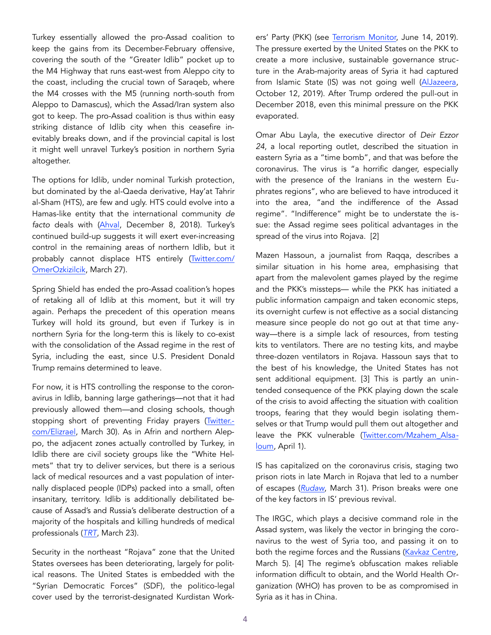Turkey essentially allowed the pro-Assad coalition to keep the gains from its December-February offensive, covering the south of the "Greater Idlib" pocket up to the M4 Highway that runs east-west from Aleppo city to the coast, including the crucial town of Saraqeb, where the M4 crosses with the M5 (running north-south from Aleppo to Damascus), which the Assad/Iran system also got to keep. The pro-Assad coalition is thus within easy striking distance of Idlib city when this ceasefire inevitably breaks down, and if the provincial capital is lost it might well unravel Turkey's position in northern Syria altogether.

The options for Idlib, under nominal Turkish protection, but dominated by the al-Qaeda derivative, Hay'at Tahrir al-Sham (HTS), are few and ugly. HTS could evolve into a Hamas-like entity that the international community *de facto* deals with [\(Ahval](https://ahvalnews.com/syrian-war/best-bad-outcome-idlib), December 8, 2018). Turkey's continued build-up suggests it will exert ever-increasing control in the remaining areas of northern Idlib, but it probably cannot displace HTS entirely [\(Twitter.com/](https://twitter.com/OmerOzkizilcik/status/1243620934575144964) [OmerOzkizilcik,](https://twitter.com/OmerOzkizilcik/status/1243620934575144964) March 27).

Spring Shield has ended the pro-Assad coalition's hopes of retaking all of Idlib at this moment, but it will try again. Perhaps the precedent of this operation means Turkey will hold its ground, but even if Turkey is in northern Syria for the long-term this is likely to co-exist with the consolidation of the Assad regime in the rest of Syria, including the east, since U.S. President Donald Trump remains determined to leave.

For now, it is HTS controlling the response to the coronavirus in Idlib, banning large gatherings—not that it had previously allowed them—and closing schools, though stopping short of preventing Friday prayers ([Twitter.](https://twitter.com/Elizrael/status/1244704705336487942)[com/Elizrael](https://twitter.com/Elizrael/status/1244704705336487942), March 30). As in Afrin and northern Aleppo, the adjacent zones actually controlled by Turkey, in Idlib there are civil society groups like the "White Helmets" that try to deliver services, but there is a serious lack of medical resources and a vast population of internally displaced people (IDPs) packed into a small, often insanitary, territory. Idlib is additionally debilitated because of Assad's and Russia's deliberate destruction of a majority of the hospitals and killing hundreds of medical professionals (*[TRT](https://www.trtarabi.com/now/%D8%A8%D8%A8%D9%86%D9%8A%D8)*, March 23).

Security in the northeast "Rojava" zone that the United States oversees has been deteriorating, largely for political reasons. The United States is embedded with the "Syrian Democratic Forces" (SDF), the politico-legal cover used by the terrorist-designated Kurdistan Workers' Party (PKK) (see [Terrorism Monitor,](https://jamestown.org/program/the-pkk-roots-of-americas-ally-in-syria/) June 14, 2019). The pressure exerted by the United States on the PKK to create a more inclusive, sustainable governance structure in the Arab-majority areas of Syria it had captured from Islamic State (IS) was not going well ([AlJazeera,](https://www.aljazeera.c) October 12, 2019). After Trump ordered the pull-out in December 2018, even this minimal pressure on the PKK evaporated.

Omar Abu Layla, the executive director of *Deir Ezzor 24*, a local reporting outlet, described the situation in eastern Syria as a "time bomb", and that was before the coronavirus. The virus is "a horrific danger, especially with the presence of the Iranians in the western Euphrates regions", who are believed to have introduced it into the area, "and the indifference of the Assad regime". "Indifference" might be to understate the issue: the Assad regime sees political advantages in the spread of the virus into Rojava. [2]

Mazen Hassoun, a journalist from Raqqa, describes a similar situation in his home area, emphasising that apart from the malevolent games played by the regime and the PKK's missteps— while the PKK has initiated a public information campaign and taken economic steps, its overnight curfew is not effective as a social distancing measure since people do not go out at that time anyway—there is a simple lack of resources, from testing kits to ventilators. There are no testing kits, and maybe three-dozen ventilators in Rojava. Hassoun says that to the best of his knowledge, the United States has not sent additional equipment. [3] This is partly an unintended consequence of the PKK playing down the scale of the crisis to avoid affecting the situation with coalition troops, fearing that they would begin isolating themselves or that Trump would pull them out altogether and leave the PKK vulnerable [\(Twitter.com/Mzahem\\_Alsa](https://twitter.com/Mzahem_Alsaloum/status/1245393229329162241)[loum,](https://twitter.com/Mzahem_Alsaloum/status/1245393229329162241) April 1).

IS has capitalized on the coronavirus crisis, staging two prison riots in late March in Rojava that led to a number of escapes (*[Rudaw](https://www.rudaw.net/english/middleeast/syria/310320201)*, March 31). Prison breaks were one of the key factors in IS' previous revival.

The IRGC, which plays a decisive command role in the Assad system, was likely the vector in bringing the coronavirus to the west of Syria too, and passing it on to both the regime forces and the Russians (Kavkaz Centre, March 5). [4] The regime's obfuscation makes reliable information difficult to obtain, and the World Health Organization (WHO) has proven to be as compromised in Syria as it has in China.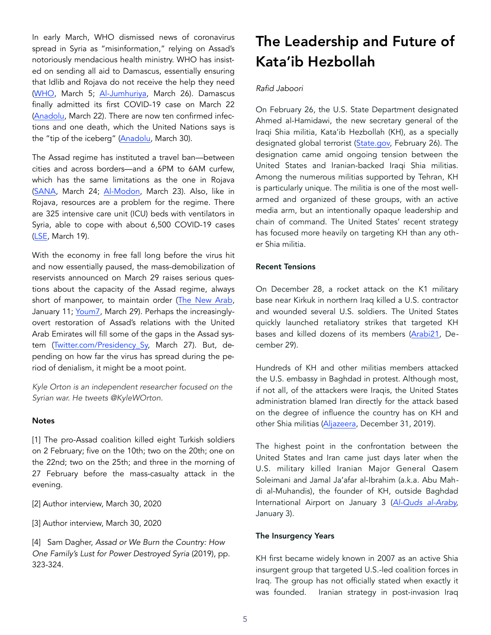In early March, WHO dismissed news of coronavirus spread in Syria as "misinformation," relying on Assad's notoriously mendacious health ministry. WHO has insisted on sending all aid to Damascus, essentially ensuring that Idlib and Rojava do not receive the help they need ([WHO,](http://www.emro.who.int/syr/syria-news/misinformation-circulating-on-social-media-regarding-covid-19.html) March 5; Al-Jumhuriya, March 26). Damascus finally admitted its first COVID-19 case on March 22 ([Anadolu](https://www.aa.com.tr/en/middle-east/syria-assad-regime-confirms-1st-coron), March 22). There are now ten confirmed infections and one death, which the United Nations says is the "tip of the iceberg" [\(Anadolu,](https://www.aa.com.tr/en/latest-on-coronavirus-outbreak/known-covid-19-cases-tip-of-ice) March 30).

The Assad regime has instituted a travel ban—between cities and across borders—and a 6PM to 6AM curfew, which has the same limitations as the one in Rojava ([SANA,](https://sana.sy/en/?p=188791) March 24; [Al-Modon,](https://www.almodon.com/arabworld/2020/3/23/%25D8%25A8%25D8%25B9%25D8%25AF-%25D9%2586%25D9%2583%25D8%25B1%25D8%25A7%25D9%2586-%25D9%2584%25D8%25A3%25D8%25B3%25D8%25A7%25D8%25A8%25D9%258A%25D8%25B9-%25D8%25A7%25D9%2584%25D9%2586%25D8%25B8%25D8%25A7%25D9%2585-%25D8%25A7%25D9%2584%25D8%25B3%25D9%2588%25D8%25B1%25D9%258A-%25D9%258A%25D8%25B9%25D8%25AA%25D8%25) March 23). Also, like in Rojava, resources are a problem for the regime. There are 325 intensive care unit (ICU) beds with ventilators in Syria, able to cope with about 6,500 COVID-19 cases ([LSE](https://eprints.lse.ac.uk/103841/1/CRP_covid_19_in_Syria_policy_memo_published.pdf), March 19).

With the economy in free fall long before the virus hit and now essentially paused, the mass-demobilization of reservists announced on March 29 raises serious questions about the capacity of the Assad regime, always short of manpower, to maintain order ([The New Arab,](https://www.alaraby.co.uk/economy/2020/1/10/%25D8%25AE%25D8%25B3%25D8%25A7%25D8%25A6%25D8%25B1-%25D8%25) January 11; [Youm7,](https://www.youm7.com/story/2020/3/29/%25D8%25A3%25) March 29). Perhaps the increasinglyovert restoration of Assad's relations with the United Arab Emirates will fill some of the gaps in the Assad system [\(Twitter.com/Presidency\\_Sy,](https://twitter.com/Presidency_Sy/status/1243618850278715393) March 27). But, depending on how far the virus has spread during the period of denialism, it might be a moot point.

*Kyle Orton is an independent researcher focused on the Syrian war. He tweets @KyleWOrton.* 

#### **Notes**

[1] The pro-Assad coalition killed eight Turkish soldiers on 2 February; five on the 10th; two on the 20th; one on the 22nd; two on the 25th; and three in the morning of 27 February before the mass-casualty attack in the evening.

[2] Author interview, March 30, 2020

[3] Author interview, March 30, 2020

[4] Sam Dagher, *Assad or We Burn the Country: How One Family's Lust for Power Destroyed Syria* (2019), pp. 323-324.

## The Leadership and Future of Kata'ib Hezbollah

#### *Rafid Jaboori*

On February 26, the U.S. State Department designated Ahmed al-Hamidawi, the new secretary general of the Iraqi Shia militia, Kata'ib Hezbollah (KH), as a specially designated global terrorist ([State.gov,](https://www.state.gov/state-department-terrorist-designation-of-ahmad-al-hamidawi/) February 26). The designation came amid ongoing tension between the United States and Iranian-backed Iraqi Shia militias. Among the numerous militias supported by Tehran, KH is particularly unique. The militia is one of the most wellarmed and organized of these groups, with an active media arm, but an intentionally opaque leadership and chain of command. The United States' recent strategy has focused more heavily on targeting KH than any other Shia militia.

#### Recent Tensions

On December 28, a rocket attack on the K1 military base near Kirkuk in northern Iraq killed a U.S. contractor and wounded several U.S. soldiers. The United States quickly launched retaliatory strikes that targeted KH bases and killed dozens of its members ([Arabi21,](https://arabi21.com/story/1233411/28-%D9%82%D8%AA%D9%8A%D9%84%D8%A7-%D8%A8%D9%82%D8%B5%D9%81-%D8%A3) December 29).

Hundreds of KH and other militias members attacked the U.S. embassy in Baghdad in protest. Although most, if not all, of the attackers were Iraqis, the United States administration blamed Iran directly for the attack based on the degree of influence the country has on KH and other Shia militias ([Aljazeera,](https://www.aljazeera.net/news/politics/2019/12/31/%D8%AF%D9%88%D9%86%D8%A7%D9%84%D8%AF-%D8%AA%D8%B1%D8%A7%D9%85%D8%A8-%D8%A7%D9%82%D8%AA%D8%AD%D8%A7%D9%85-%D8%A7) December 31, 2019).

The highest point in the confrontation between the United States and Iran came just days later when the U.S. military killed Iranian Major General Qasem Soleimani and Jamal Ja'afar al-Ibrahim (a.k.a. Abu Mahdi al-Muhandis), the founder of KH, outside Baghdad International Airport on January 3 (*[Al-Quds al-Araby,](https://www.alquds.co.uk/%25D8%25B3%25D9%2582%25D9%2588%25D8%25B7-%25D8%25A3%25D8%25B1%25D8%25A8%25D8%25B9%25D8%25A9-%25D8%25B5%25D9%2588%25D8%25A7%25D8%25B1%25D9%258A%25D8%25AE-%25D8%25B9%25D9%2584%25D9%2589-%25D9%2582%25D8%25A7%25D8%25B9%25D8%25AF%25D8%25A9-%25D8%25)*  January 3).

#### The Insurgency Years

KH first became widely known in 2007 as an active Shia insurgent group that targeted U.S.-led coalition forces in Iraq. The group has not officially stated when exactly it was founded. Iranian strategy in post-invasion Iraq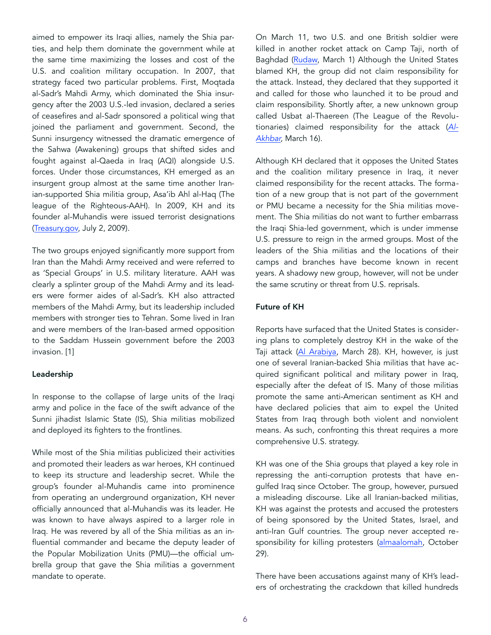aimed to empower its Iraqi allies, namely the Shia parties, and help them dominate the government while at the same time maximizing the losses and cost of the U.S. and coalition military occupation. In 2007, that strategy faced two particular problems. First, Moqtada al-Sadr's Mahdi Army, which dominated the Shia insurgency after the 2003 U.S.-led invasion, declared a series of ceasefires and al-Sadr sponsored a political wing that joined the parliament and government. Second, the Sunni insurgency witnessed the dramatic emergence of the Sahwa (Awakening) groups that shifted sides and fought against al-Qaeda in Iraq (AQI) alongside U.S. forces. Under those circumstances, KH emerged as an insurgent group almost at the same time another Iranian-supported Shia militia group, Asa'ib Ahl al-Haq (The league of the Righteous-AAH). In 2009, KH and its founder al-Muhandis were issued terrorist designations ([Treasury.gov,](https://www.treasury.gov/press-center/press-releases/Pages/tg195.aspx) July 2, 2009).

The two groups enjoyed significantly more support from Iran than the Mahdi Army received and were referred to as 'Special Groups' in U.S. military literature. AAH was clearly a splinter group of the Mahdi Army and its leaders were former aides of al-Sadr's. KH also attracted members of the Mahdi Army, but its leadership included members with stronger ties to Tehran. Some lived in Iran and were members of the Iran-based armed opposition to the Saddam Hussein government before the 2003 invasion. [1]

#### Leadership

In response to the collapse of large units of the Iraqi army and police in the face of the swift advance of the Sunni jihadist Islamic State (IS), Shia militias mobilized and deployed its fighters to the frontlines.

While most of the Shia militias publicized their activities and promoted their leaders as war heroes, KH continued to keep its structure and leadership secret. While the group's founder al-Muhandis came into prominence from operating an underground organization, KH never officially announced that al-Muhandis was its leader. He was known to have always aspired to a larger role in Iraq. He was revered by all of the Shia militias as an influential commander and became the deputy leader of the Popular Mobilization Units (PMU)—the official umbrella group that gave the Shia militias a government mandate to operate.

On March 11, two U.S. and one British soldier were killed in another rocket attack on Camp Taji, north of Baghdad ([Rudaw,](https://www.rudaw.net/arabic/middleeast/iraq/1103202018) March 1) Although the United States blamed KH, the group did not claim responsibility for the attack. Instead, they declared that they supported it and called for those who launched it to be proud and claim responsibility. Shortly after, a new unknown group called Usbat al-Thaereen (The League of the Revolutionaries) claimed responsibility for the attack (*[Al-](https://al-akhbar.com/Iraq/285700)[Akhbar,](https://al-akhbar.com/Iraq/285700)* March 16).

Although KH declared that it opposes the United States and the coalition military presence in Iraq, it never claimed responsibility for the recent attacks. The formation of a new group that is not part of the government or PMU became a necessity for the Shia militias movement. The Shia militias do not want to further embarrass the Iraqi Shia-led government, which is under immense U.S. pressure to reign in the armed groups. Most of the leaders of the Shia militias and the locations of their camps and branches have become known in recent years. A shadowy new group, however, will not be under the same scrutiny or threat from U.S. reprisals.

#### Future of KH

Reports have surfaced that the United States is considering plans to completely destroy KH in the wake of the Taji attack ([Al Arabiya,](https://www.alarabiya.net/ar/arab-and-world/iraq/2020/03/28/%25D9%2586%25D9%258A%25D9%2588%25D9%258A%25D9%2588%25D8%25B1%25D9%2583-%25D8%25AA%25D8%25A7%25D9%258A%25D9%2585%25D8%25B2-%25D8%25A7%25D8%25B9%25D8%25AF%25D8%25A7%25D8%25AF-%25D8%25AE%25D8%25B7%25D8%25B7-%25D8%25A3%25D9%2585%25D9%258A%25D8%25B1%25D9%2583%25D9%258A%25D8%25) March 28). KH, however, is just one of several Iranian-backed Shia militias that have acquired significant political and military power in Iraq, especially after the defeat of IS. Many of those militias promote the same anti-American sentiment as KH and have declared policies that aim to expel the United States from Iraq through both violent and nonviolent means. As such, confronting this threat requires a more comprehensive U.S. strategy.

KH was one of the Shia groups that played a key role in repressing the anti-corruption protests that have engulfed Iraq since October. The group, however, pursued a misleading discourse. Like all Iranian-backed militias, KH was against the protests and accused the protesters of being sponsored by the United States, Israel, and anti-Iran Gulf countries. The group never accepted responsibility for killing protesters (almaalomah, October 29).

There have been accusations against many of KH's leaders of orchestrating the crackdown that killed hundreds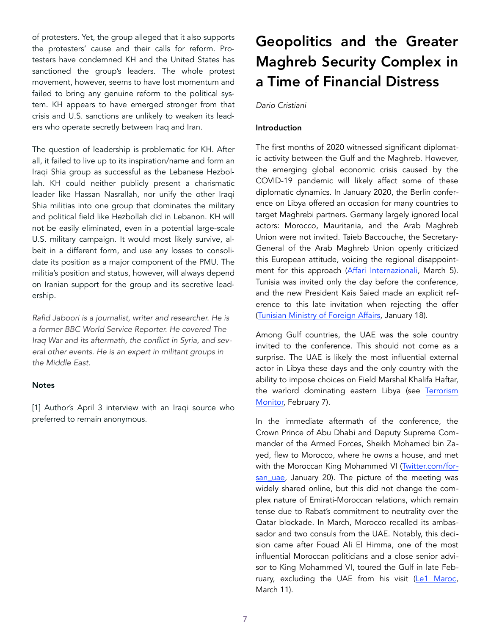of protesters. Yet, the group alleged that it also supports the protesters' cause and their calls for reform. Protesters have condemned KH and the United States has sanctioned the group's leaders. The whole protest movement, however, seems to have lost momentum and failed to bring any genuine reform to the political system. KH appears to have emerged stronger from that crisis and U.S. sanctions are unlikely to weaken its leaders who operate secretly between Iraq and Iran.

The question of leadership is problematic for KH. After all, it failed to live up to its inspiration/name and form an Iraqi Shia group as successful as the Lebanese Hezbollah. KH could neither publicly present a charismatic leader like Hassan Nasrallah, nor unify the other Iraqi Shia militias into one group that dominates the military and political field like Hezbollah did in Lebanon. KH will not be easily eliminated, even in a potential large-scale U.S. military campaign. It would most likely survive, albeit in a different form, and use any losses to consolidate its position as a major component of the PMU. The militia's position and status, however, will always depend on Iranian support for the group and its secretive leadership.

*Rafid Jaboori is a journalist, writer and researcher. He is a former BBC World Service Reporter. He covered The Iraq War and its aftermath, the conflict in Syria, and several other events. He is an expert in militant groups in the Middle East.* 

#### **Notes**

[1] Author's April 3 interview with an Iraqi source who preferred to remain anonymous.

# Geopolitics and the Greater Maghreb Security Complex in a Time of Financial Distress

## *Dario Cristiani*

## Introduction

The first months of 2020 witnessed significant diplomatic activity between the Gulf and the Maghreb. However, the emerging global economic crisis caused by the COVID-19 pandemic will likely affect some of these diplomatic dynamics. In January 2020, the Berlin conference on Libya offered an occasion for many countries to target Maghrebi partners. Germany largely ignored local actors: Morocco, Mauritania, and the Arab Maghreb Union were not invited. Taieb Baccouche, the Secretary-General of the Arab Maghreb Union openly criticized this European attitude, voicing the regional disappoint-ment for this approach ([Affari Internazionali,](https://www.affarinterna) March 5). Tunisia was invited only the day before the conference, and the new President Kais Saied made an explicit reference to this late invitation when rejecting the offer ([Tunisian Ministry of Foreign Affairs,](https://www.diplomatie.gov.tn/en/mission/press/news/detail/etranger/mission-permanente-de-tunisie-aupres-des-nations-unies-a-new-york-etats-unis/?tx_news_pi1%5Bnews%5D=1714&cHash=9ad44320f4e6e0ded3d0c372b93a5af2) January 18).

Among Gulf countries, the UAE was the sole country invited to the conference. This should not come as a surprise. The UAE is likely the most influential external actor in Libya these days and the only country with the ability to impose choices on Field Marshal Khalifa Haftar, the warlord dominating eastern Libya (see Terrorism [Mo](https://jamestown.org/program/a-piece-of-a-greater-puzzle-the-libyan-civil-war-external-influences-and-regional-trends/)nitor, February 7).

In the immediate aftermath of the conference, the Crown Prince of Abu Dhabi and Deputy Supreme Commander of the Armed Forces, Sheikh Mohamed bin Zayed, flew to Morocco, where he owns a house, and met with the Moroccan King Mohammed VI ([Twitter.com/for](https://twitter.com/Forsan_UAE/status/1219196191856037893/photo/1)[san\\_uae,](https://twitter.com/Forsan_UAE/status/1219196191856037893/photo/1) January 20). The picture of the meeting was widely shared online, but this did not change the complex nature of Emirati-Moroccan relations, which remain tense due to Rabat's commitment to neutrality over the Qatar blockade. In March, Morocco recalled its ambassador and two consuls from the UAE. Notably, this decision came after Fouad Ali El Himma, one of the most influential Moroccan politicians and a close senior advisor to King Mohammed VI, toured the Gulf in late Feb-ruary, excluding the UAE from his visit ([Le1 Maroc,](https://www.le1.ma/relations-rabat-abu-dhabi-la-rechute/) March 11).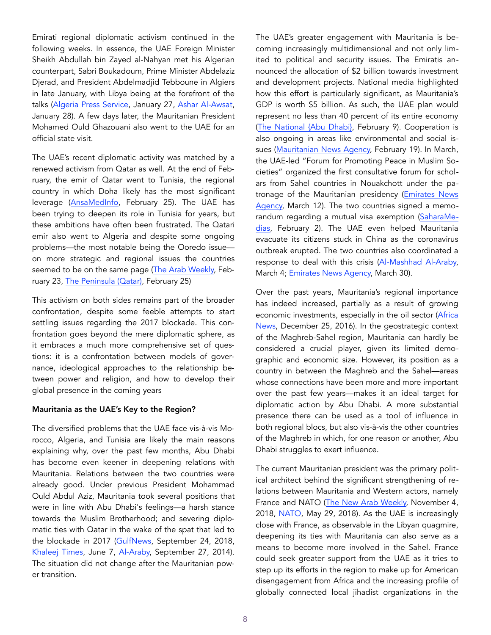Emirati regional diplomatic activism continued in the following weeks. In essence, the UAE Foreign Minister Sheikh Abdullah bin Zayed al-Nahyan met his Algerian counterpart, Sabri Boukadoum, Prime Minister Abdelaziz Djerad, and President Abdelmadjid Tebboune in Algiers in late January, with Libya being at the forefront of the talks [\(Algeria Press Service](http://www.aps.dz/en/algeria/32878-algeria-uae-stress-need-to-boost-bilateral-cooperation-pursue-consultations), January 27, Ashar Al-Awsat, January 28). A few days later, the Mauritanian President Mohamed Ould Ghazouani also went to the UAE for an official state visit.

The UAE's recent diplomatic activity was matched by a renewed activism from Qatar as well. At the end of February, the emir of Qatar went to Tunisia, the regional country in which Doha likely has the most significant leverage [\(AnsaMedInfo,](http://www.ansamed.info/ansamed/en/news/sect) February 25). The UAE has been trying to deepen its role in Tunisia for years, but these ambitions have often been frustrated. The Qatari emir also went to Algeria and despite some ongoing problems—the most notable being the Ooredo issue on more strategic and regional issues the countries seemed to be on the same page [\(The Arab Weekly,](https://thearabweekly.com/algeria-expels-man) February 23, [The Peninsula \(Qatar\),](https://thepeninsulaqatar.com/article/25/02/2020/Amir-arrives-in-Algeria) February 25)

This activism on both sides remains part of the broader confrontation, despite some feeble attempts to start settling issues regarding the 2017 blockade. This confrontation goes beyond the mere diplomatic sphere, as it embraces a much more comprehensive set of questions: it is a confrontation between models of governance, ideological approaches to the relationship between power and religion, and how to develop their global presence in the coming years

#### Mauritania as the UAE's Key to the Region?

The diversified problems that the UAE face vis-à-vis Morocco, Algeria, and Tunisia are likely the main reasons explaining why, over the past few months, Abu Dhabi has become even keener in deepening relations with Mauritania. Relations between the two countries were already good. Under previous President Mohammad Ould Abdul Aziz, Mauritania took several positions that were in line with Abu Dhabi's feelings—a harsh stance towards the Muslim Brotherhood; and severing diplomatic ties with Qatar in the wake of the spat that led to the blockade in 2017 [\(GulfNews,](https://gulfnews.com/world/mena/mauritania-moving-towards-banning-muslim-brotherhood-1.2282210) September 24, 2018, [Khaleej Times,](https://www.khaleejtimes.com/region/qatar/mauritania-break) June 7, [Al-Araby,](https://english.alaraby.co.uk/english/news/2014/10/9/mauritania-delays-appointment-of-muslim-brotherhood-opposition-leader) September 27, 2014). The situation did not change after the Mauritanian power transition.

The UAE's greater engagement with Mauritania is becoming increasingly multidimensional and not only limited to political and security issues. The Emiratis announced the allocation of \$2 billion towards investment and development projects. National media highlighted how this effort is particularly significant, as Mauritania's GDP is worth \$5 billion. As such, the UAE plan would represent no less than 40 percent of its entire economy ([The National {Abu Dhabi}](https://www.thenational), February 9). Cooperation is also ongoing in areas like environmental and social issues ([Mauritanian News Agency,](http://www.ami.mr/Depe) February 19). In March, the UAE-led "Forum for Promoting Peace in Muslim Societies" organized the first consultative forum for scholars from Sahel countries in Nouakchott under the patronage of the Mauritanian presidency ([Emirates News](https://www.wam.ae/en/details/1395302830373)  [Agency,](https://www.wam.ae/en/details/1395302830373) March 12). The two countries signed a memorandum regarding a mutual visa exemption ([SaharaMe](https://www.saharamedias.net/%25D9%2585%25D9%2588%25D8%25B1%25D9%258A%25D8%25AA%25D8%25A7%25D9%258)[dias,](https://www.saharamedias.net/%25D9%2585%25D9%2588%25D8%25B1%25D9%258A%25D8%25AA%25D8%25A7%25D9%258) February 2). The UAE even helped Mauritania evacuate its citizens stuck in China as the coronavirus outbreak erupted. The two countries also coordinated a response to deal with this crisis [\(Al-Mashhad Al-Araby,](https://almashhadalaraby.com/news/165437) March 4; [Emirates News Agency,](https://wam.ae/en/details/1395302833942) March 30).

Over the past years, Mauritania's regional importance has indeed increased, partially as a result of growing economic investments, especially in the oil sector [\(Africa](https://www.africanews.com/2016/12/25/mauritania)  [News,](https://www.africanews.com/2016/12/25/mauritania) December 25, 2016). In the geostrategic context of the Maghreb-Sahel region, Mauritania can hardly be considered a crucial player, given its limited demographic and economic size. However, its position as a country in between the Maghreb and the Sahel—areas whose connections have been more and more important over the past few years—makes it an ideal target for diplomatic action by Abu Dhabi. A more substantial presence there can be used as a tool of influence in both regional blocs, but also vis-à-vis the other countries of the Maghreb in which, for one reason or another, Abu Dhabi struggles to exert influence.

The current Mauritanian president was the primary political architect behind the significant strengthening of relations between Mauritania and Western actors, namely France and NATO ([The New Arab Weekly,](https://thearabweekly.com/mauritania-appointments-reflect-jockeying-succession) November 4, 2018, [NATO,](https://www.nato.int/cps/en/natohq/news_155080.htm) May 29, 2018). As the UAE is increasingly close with France, as observable in the Libyan quagmire, deepening its ties with Mauritania can also serve as a means to become more involved in the Sahel. France could seek greater support from the UAE as it tries to step up its efforts in the region to make up for American disengagement from Africa and the increasing profile of globally connected local jihadist organizations in the